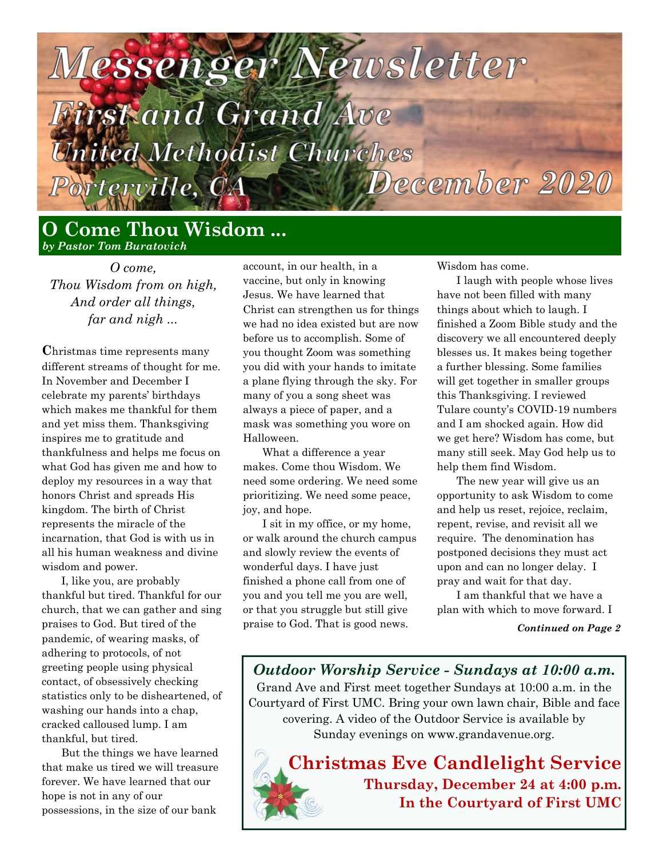# lessenger Newsletter

# irst and Grand Ave Inited Methodist Churches December 2020

orterville, CA

## **O Come Thou Wisdom ...** *by Pastor Tom Buratovich*

*O come, Thou Wisdom from on high, And order all things, far and nigh ...*

**C**hristmas time represents many different streams of thought for me. In November and December I celebrate my parents' birthdays which makes me thankful for them and yet miss them. Thanksgiving inspires me to gratitude and thankfulness and helps me focus on what God has given me and how to deploy my resources in a way that honors Christ and spreads His kingdom. The birth of Christ represents the miracle of the incarnation, that God is with us in all his human weakness and divine wisdom and power.

I, like you, are probably thankful but tired. Thankful for our church, that we can gather and sing praises to God. But tired of the pandemic, of wearing masks, of adhering to protocols, of not greeting people using physical contact, of obsessively checking statistics only to be disheartened, of washing our hands into a chap, cracked calloused lump. I am thankful, but tired.

But the things we have learned that make us tired we will treasure forever. We have learned that our hope is not in any of our possessions, in the size of our bank

account, in our health, in a vaccine, but only in knowing Jesus. We have learned that Christ can strengthen us for things we had no idea existed but are now before us to accomplish. Some of you thought Zoom was something you did with your hands to imitate a plane flying through the sky. For many of you a song sheet was always a piece of paper, and a mask was something you wore on Halloween.

What a difference a year makes. Come thou Wisdom. We need some ordering. We need some prioritizing. We need some peace, joy, and hope.

I sit in my office, or my home, or walk around the church campus and slowly review the events of wonderful days. I have just finished a phone call from one of you and you tell me you are well, or that you struggle but still give praise to God. That is good news.

Wisdom has come.

I laugh with people whose lives have not been filled with many things about which to laugh. I finished a Zoom Bible study and the discovery we all encountered deeply blesses us. It makes being together a further blessing. Some families will get together in smaller groups this Thanksgiving. I reviewed Tulare county's COVID-19 numbers and I am shocked again. How did we get here? Wisdom has come, but many still seek. May God help us to help them find Wisdom.

The new year will give us an opportunity to ask Wisdom to come and help us reset, rejoice, reclaim, repent, revise, and revisit all we require. The denomination has postponed decisions they must act upon and can no longer delay. I pray and wait for that day.

I am thankful that we have a plan with which to move forward. I

*Continued on Page 2*

*Outdoor Worship Service - Sundays at 10:00 a.m.* Grand Ave and First meet together Sundays at 10:00 a.m. in the Courtyard of First UMC. Bring your own lawn chair, Bible and face covering. A video of the Outdoor Service is available by Sunday evenings on www.grandavenue.org.

**Christmas Eve Candlelight Service Thursday, December 24 at 4:00 p.m. In the Courtyard of First UMC**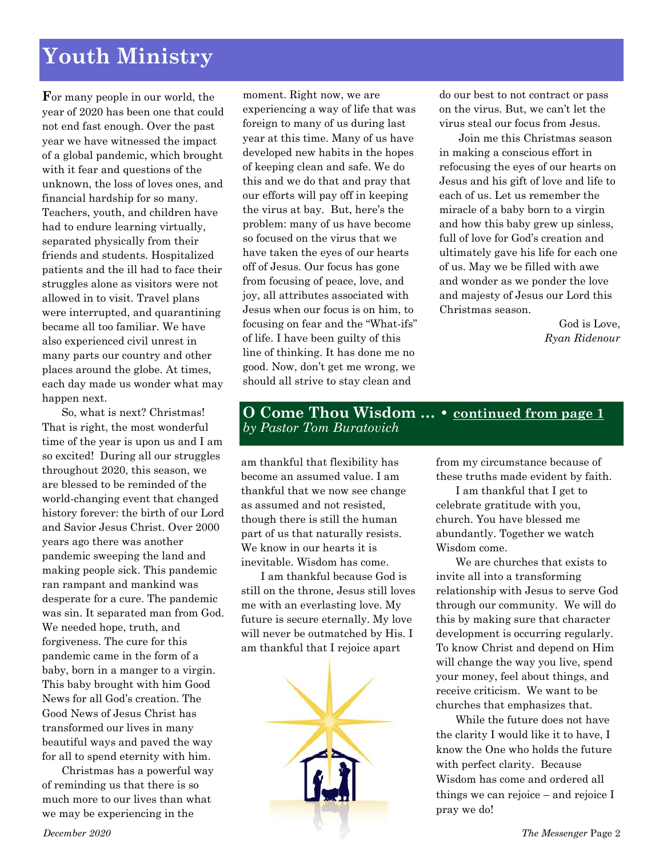# **Youth Ministry**

**F**or many people in our world, the year of 2020 has been one that could not end fast enough. Over the past year we have witnessed the impact of a global pandemic, which brought with it fear and questions of the unknown, the loss of loves ones, and financial hardship for so many. Teachers, youth, and children have had to endure learning virtually, separated physically from their friends and students. Hospitalized patients and the ill had to face their struggles alone as visitors were not allowed in to visit. Travel plans were interrupted, and quarantining became all too familiar. We have also experienced civil unrest in many parts our country and other places around the globe. At times, each day made us wonder what may happen next.

So, what is next? Christmas! That is right, the most wonderful time of the year is upon us and I am so excited! During all our struggles throughout 2020, this season, we are blessed to be reminded of the world-changing event that changed history forever: the birth of our Lord and Savior Jesus Christ. Over 2000 years ago there was another pandemic sweeping the land and making people sick. This pandemic ran rampant and mankind was desperate for a cure. The pandemic was sin. It separated man from God. We needed hope, truth, and forgiveness. The cure for this pandemic came in the form of a baby, born in a manger to a virgin. This baby brought with him Good News for all God's creation. The Good News of Jesus Christ has transformed our lives in many beautiful ways and paved the way for all to spend eternity with him.

Christmas has a powerful way of reminding us that there is so much more to our lives than what we may be experiencing in the

moment. Right now, we are experiencing a way of life that was foreign to many of us during last year at this time. Many of us have developed new habits in the hopes of keeping clean and safe. We do this and we do that and pray that our efforts will pay off in keeping the virus at bay. But, here's the problem: many of us have become so focused on the virus that we have taken the eyes of our hearts off of Jesus. Our focus has gone from focusing of peace, love, and joy, all attributes associated with Jesus when our focus is on him, to focusing on fear and the "What-ifs" of life. I have been guilty of this line of thinking. It has done me no good. Now, don't get me wrong, we should all strive to stay clean and

do our best to not contract or pass on the virus. But, we can't let the virus steal our focus from Jesus.

Join me this Christmas season in making a conscious effort in refocusing the eyes of our hearts on Jesus and his gift of love and life to each of us. Let us remember the miracle of a baby born to a virgin and how this baby grew up sinless, full of love for God's creation and ultimately gave his life for each one of us. May we be filled with awe and wonder as we ponder the love and majesty of Jesus our Lord this Christmas season.

> God is Love, *Ryan Ridenour*

#### **O Come Thou Wisdom … • continued from page 1** *by Pastor Tom Buratovich*

am thankful that flexibility has become an assumed value. I am thankful that we now see change as assumed and not resisted, though there is still the human part of us that naturally resists. We know in our hearts it is inevitable. Wisdom has come.

I am thankful because God is still on the throne, Jesus still loves me with an everlasting love. My future is secure eternally. My love will never be outmatched by His. I am thankful that I rejoice apart



from my circumstance because of these truths made evident by faith.

I am thankful that I get to celebrate gratitude with you, church. You have blessed me abundantly. Together we watch Wisdom come.

We are churches that exists to invite all into a transforming relationship with Jesus to serve God through our community. We will do this by making sure that character development is occurring regularly. To know Christ and depend on Him will change the way you live, spend your money, feel about things, and receive criticism. We want to be churches that emphasizes that.

While the future does not have the clarity I would like it to have, I know the One who holds the future with perfect clarity. Because Wisdom has come and ordered all things we can rejoice – and rejoice I pray we do!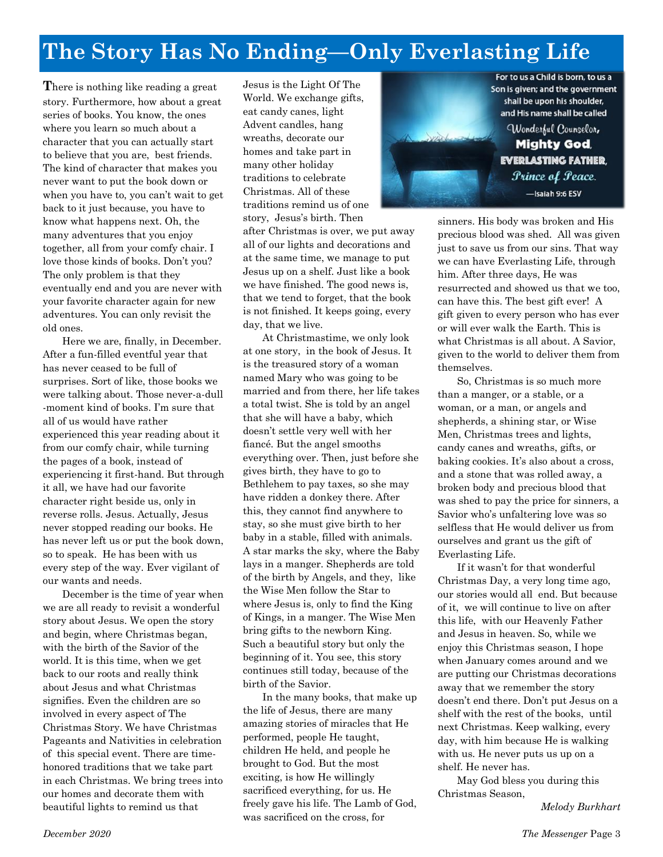# **The Story Has No Ending—Only Everlasting Life**

**T**here is nothing like reading a great story. Furthermore, how about a great series of books. You know, the ones where you learn so much about a character that you can actually start to believe that you are, best friends. The kind of character that makes you never want to put the book down or when you have to, you can't wait to get back to it just because, you have to know what happens next. Oh, the many adventures that you enjoy together, all from your comfy chair. I love those kinds of books. Don't you? The only problem is that they eventually end and you are never with your favorite character again for new adventures. You can only revisit the old ones.

Here we are, finally, in December. After a fun-filled eventful year that has never ceased to be full of surprises. Sort of like, those books we were talking about. Those never-a-dull -moment kind of books. I'm sure that all of us would have rather experienced this year reading about it from our comfy chair, while turning the pages of a book, instead of experiencing it first-hand. But through it all, we have had our favorite character right beside us, only in reverse rolls. Jesus. Actually, Jesus never stopped reading our books. He has never left us or put the book down, so to speak. He has been with us every step of the way. Ever vigilant of our wants and needs.

December is the time of year when we are all ready to revisit a wonderful story about Jesus. We open the story and begin, where Christmas began, with the birth of the Savior of the world. It is this time, when we get back to our roots and really think about Jesus and what Christmas signifies. Even the children are so involved in every aspect of The Christmas Story. We have Christmas Pageants and Nativities in celebration of this special event. There are timehonored traditions that we take part in each Christmas. We bring trees into our homes and decorate them with beautiful lights to remind us that

Jesus is the Light Of The World. We exchange gifts, eat candy canes, light Advent candles, hang wreaths, decorate our homes and take part in many other holiday traditions to celebrate Christmas. All of these traditions remind us of one story, Jesus's birth. Then

after Christmas is over, we put away all of our lights and decorations and at the same time, we manage to put Jesus up on a shelf. Just like a book we have finished. The good news is, that we tend to forget, that the book is not finished. It keeps going, every day, that we live.

At Christmastime, we only look at one story, in the book of Jesus. It is the treasured story of a woman named Mary who was going to be married and from there, her life takes a total twist. She is told by an angel that she will have a baby, which doesn't settle very well with her fiancé. But the angel smooths everything over. Then, just before she gives birth, they have to go to Bethlehem to pay taxes, so she may have ridden a donkey there. After this, they cannot find anywhere to stay, so she must give birth to her baby in a stable, filled with animals. A star marks the sky, where the Baby lays in a manger. Shepherds are told of the birth by Angels, and they, like the Wise Men follow the Star to where Jesus is, only to find the King of Kings, in a manger. The Wise Men bring gifts to the newborn King. Such a beautiful story but only the beginning of it. You see, this story continues still today, because of the birth of the Savior.

In the many books, that make up the life of Jesus, there are many amazing stories of miracles that He performed, people He taught, children He held, and people he brought to God. But the most exciting, is how He willingly sacrificed everything, for us. He freely gave his life. The Lamb of God, was sacrificed on the cross, for



**Mighty God EVERLASTING FATHER, Prince of Peace.** -Isaiah 9:6 ESV

sinners. His body was broken and His precious blood was shed. All was given just to save us from our sins. That way we can have Everlasting Life, through him. After three days, He was resurrected and showed us that we too, can have this. The best gift ever! A gift given to every person who has ever or will ever walk the Earth. This is what Christmas is all about. A Savior, given to the world to deliver them from themselves.

So, Christmas is so much more than a manger, or a stable, or a woman, or a man, or angels and shepherds, a shining star, or Wise Men, Christmas trees and lights, candy canes and wreaths, gifts, or baking cookies. It's also about a cross, and a stone that was rolled away, a broken body and precious blood that was shed to pay the price for sinners, a Savior who's unfaltering love was so selfless that He would deliver us from ourselves and grant us the gift of Everlasting Life.

If it wasn't for that wonderful Christmas Day, a very long time ago, our stories would all end. But because of it, we will continue to live on after this life, with our Heavenly Father and Jesus in heaven. So, while we enjoy this Christmas season, I hope when January comes around and we are putting our Christmas decorations away that we remember the story doesn't end there. Don't put Jesus on a shelf with the rest of the books, until next Christmas. Keep walking, every day, with him because He is walking with us. He never puts us up on a shelf. He never has.

May God bless you during this Christmas Season,

*Melody Burkhart*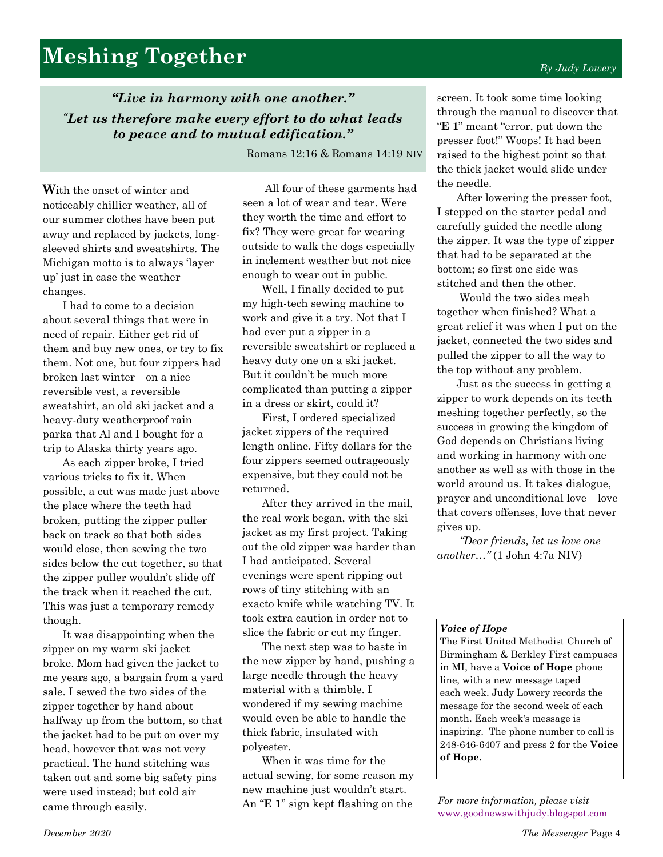# **Meshing Together**

*"Live in harmony with one another." "Let us therefore make every effort to do what leads to peace and to mutual edification."*

Romans 12:16 & Romans 14:19 NIV

**W**ith the onset of winter and noticeably chillier weather, all of our summer clothes have been put away and replaced by jackets, longsleeved shirts and sweatshirts. The Michigan motto is to always 'layer up' just in case the weather changes.

I had to come to a decision about several things that were in need of repair. Either get rid of them and buy new ones, or try to fix them. Not one, but four zippers had broken last winter—on a nice reversible vest, a reversible sweatshirt, an old ski jacket and a heavy-duty weatherproof rain parka that Al and I bought for a trip to Alaska thirty years ago.

As each zipper broke, I tried various tricks to fix it. When possible, a cut was made just above the place where the teeth had broken, putting the zipper puller back on track so that both sides would close, then sewing the two sides below the cut together, so that the zipper puller wouldn't slide off the track when it reached the cut. This was just a temporary remedy though.

It was disappointing when the zipper on my warm ski jacket broke. Mom had given the jacket to me years ago, a bargain from a yard sale. I sewed the two sides of the zipper together by hand about halfway up from the bottom, so that the jacket had to be put on over my head, however that was not very practical. The hand stitching was taken out and some big safety pins were used instead; but cold air came through easily.

All four of these garments had seen a lot of wear and tear. Were they worth the time and effort to fix? They were great for wearing outside to walk the dogs especially in inclement weather but not nice enough to wear out in public.

Well, I finally decided to put my high-tech sewing machine to work and give it a try. Not that I had ever put a zipper in a reversible sweatshirt or replaced a heavy duty one on a ski jacket. But it couldn't be much more complicated than putting a zipper in a dress or skirt, could it?

First, I ordered specialized jacket zippers of the required length online. Fifty dollars for the four zippers seemed outrageously expensive, but they could not be returned.

After they arrived in the mail, the real work began, with the ski jacket as my first project. Taking out the old zipper was harder than I had anticipated. Several evenings were spent ripping out rows of tiny stitching with an exacto knife while watching TV. It took extra caution in order not to slice the fabric or cut my finger.

The next step was to baste in the new zipper by hand, pushing a large needle through the heavy material with a thimble. I wondered if my sewing machine would even be able to handle the thick fabric, insulated with polyester.

When it was time for the actual sewing, for some reason my new machine just wouldn't start. An "**E 1**" sign kept flashing on the

screen. It took some time looking through the manual to discover that "**E 1**" meant "error, put down the presser foot!" Woops! It had been raised to the highest point so that the thick jacket would slide under the needle.

After lowering the presser foot, I stepped on the starter pedal and carefully guided the needle along the zipper. It was the type of zipper that had to be separated at the bottom; so first one side was stitched and then the other.

Would the two sides mesh together when finished? What a great relief it was when I put on the jacket, connected the two sides and pulled the zipper to all the way to the top without any problem.

Just as the success in getting a zipper to work depends on its teeth meshing together perfectly, so the success in growing the kingdom of God depends on Christians living and working in harmony with one another as well as with those in the world around us. It takes dialogue, prayer and unconditional love—love that covers offenses, love that never gives up.

*"Dear friends, let us love one another…"* (1 John 4:7a NIV)

#### *Voice of Hope*

The First United Methodist Church of Birmingham & Berkley First campuses in MI, have a **Voice of Hope** phone line, with a new message taped each week. Judy Lowery records the message for the second week of each month. Each week's message is inspiring. The phone number to call is 248-646-6407 and press 2 for the **Voice of Hope.** 

*For more information, please visit*  [www.goodnewswithjudy.blogspot.com](http://www.goodnewswithjudy.blogspot.com/)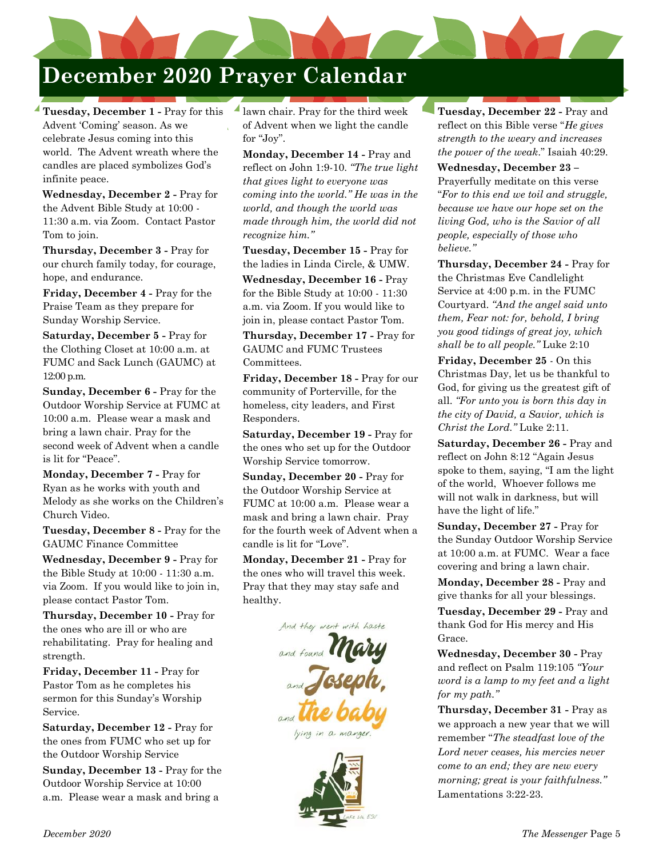# **December 2020 Prayer Calendar**

**Tuesday, December 1 -** Pray for this Advent 'Coming' season. As we celebrate Jesus coming into this world. The Advent wreath where the candles are placed symbolizes God's infinite peace.

**Wednesday, December 2 -** Pray for the Advent Bible Study at 10:00 - 11:30 a.m. via Zoom. Contact Pastor Tom to join.

**Thursday, December 3 -** Pray for our church family today, for courage, hope, and endurance.

**Friday, December 4 -** Pray for the Praise Team as they prepare for Sunday Worship Service.

**Saturday, December 5 -** Pray for the Clothing Closet at 10:00 a.m. at FUMC and Sack Lunch (GAUMC) at 12:00 p.m.

**Sunday, December 6 -** Pray for the Outdoor Worship Service at FUMC at 10:00 a.m. Please wear a mask and bring a lawn chair. Pray for the second week of Advent when a candle is lit for "Peace".

**Monday, December 7 -** Pray for Ryan as he works with youth and Melody as she works on the Children's Church Video.

**Tuesday, December 8 -** Pray for the GAUMC Finance Committee

**Wednesday, December 9 -** Pray for the Bible Study at 10:00 - 11:30 a.m. via Zoom. If you would like to join in, please contact Pastor Tom.

**Thursday, December 10 -** Pray for the ones who are ill or who are rehabilitating. Pray for healing and strength.

**Friday, December 11 -** Pray for Pastor Tom as he completes his sermon for this Sunday's Worship Service.

**Saturday, December 12 -** Pray for the ones from FUMC who set up for the Outdoor Worship Service

**Sunday, December 13 -** Pray for the Outdoor Worship Service at 10:00 a.m. Please wear a mask and bring a

lawn chair. Pray for the third week of Advent when we light the candle for "Joy".

**Monday, December 14 -** Pray and reflect on John 1:9-10. *"The true light that gives light to everyone was coming into the world." He was in the world, and though the world was made through him, the world did not recognize him."*

**Tuesday, December 15 -** Pray for the ladies in Linda Circle, & UMW.

**Wednesday, December 16 -** Pray for the Bible Study at 10:00 - 11:30 a.m. via Zoom. If you would like to join in, please contact Pastor Tom.

**Thursday, December 17 -** Pray for GAUMC and FUMC Trustees Committees.

**Friday, December 18 -** Pray for our community of Porterville, for the homeless, city leaders, and First Responders.

**Saturday, December 19 -** Pray for the ones who set up for the Outdoor Worship Service tomorrow.

**Sunday, December 20 -** Pray for the Outdoor Worship Service at FUMC at 10:00 a.m. Please wear a mask and bring a lawn chair. Pray for the fourth week of Advent when a candle is lit for "Love".

**Monday, December 21 -** Pray for the ones who will travel this week. Pray that they may stay safe and healthy.





**Tuesday, December 22 -** Pray and reflect on this Bible verse "*He gives strength to the weary and increases the power of the weak*." Isaiah 40:29.

**Wednesday, December 23 –** Prayerfully meditate on this verse "*For to this end we toil and struggle, because we have our hope set on the living God, who is the Savior of all people, especially of those who believe."*

**Thursday, December 24 -** Pray for the Christmas Eve Candlelight Service at 4:00 p.m. in the FUMC Courtyard. *"And the angel said unto them, Fear not: for, behold, I bring you good tidings of great joy, which shall be to all people."* Luke 2:10

**Friday, December 25** - On this Christmas Day, let us be thankful to God, for giving us the greatest gift of all. *"For unto you is born this day in the city of David, a Savior, which is Christ the Lord."* Luke 2:11.

**Saturday, December 26 -** Pray and reflect on John 8:12 "Again Jesus spoke to them, saying, "I am the light of the world, Whoever follows me will not walk in darkness, but will have the light of life."

**Sunday, December 27 -** Pray for the Sunday Outdoor Worship Service at 10:00 a.m. at FUMC. Wear a face covering and bring a lawn chair.

**Monday, December 28 -** Pray and give thanks for all your blessings.

**Tuesday, December 29 -** Pray and thank God for His mercy and His Grace.

**Wednesday, December 30 -** Pray and reflect on Psalm 119:105 *"Your word is a lamp to my feet and a light for my path."*

**Thursday, December 31 -** Pray as we approach a new year that we will remember "*The steadfast love of the Lord never ceases, his mercies never come to an end; they are new every morning; great is your faithfulness."* Lamentations 3:22-23.